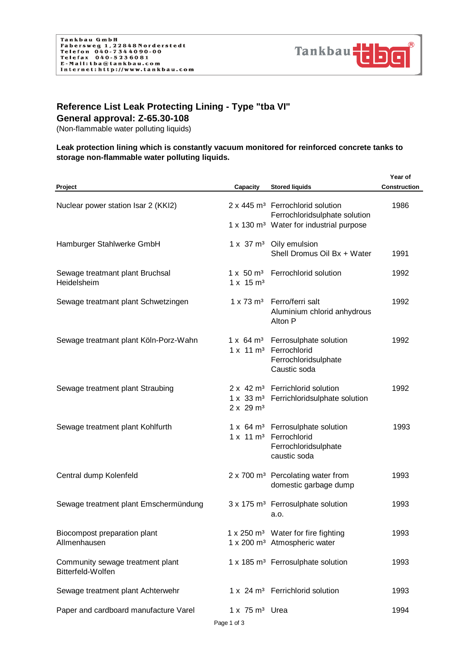

## **Reference List Leak Protecting Lining - Type "tba VI"**

**General approval: Z-65.30-108**

(Non-flammable water polluting liquids)

## **Leak protection lining which is constantly vacuum monitored for reinforced concrete tanks to storage non-flammable water polluting liquids.**

|                                                       |                                                  |                                                                                                                            | Year of      |
|-------------------------------------------------------|--------------------------------------------------|----------------------------------------------------------------------------------------------------------------------------|--------------|
| Project                                               | Capacity                                         | <b>Stored liquids</b>                                                                                                      | Construction |
| Nuclear power station Isar 2 (KKI2)                   |                                                  | 2 x 445 m <sup>3</sup> Ferrochlorid solution<br>Ferrochloridsulphate solution                                              | 1986         |
|                                                       |                                                  | 1 x 130 m <sup>3</sup> Water for industrial purpose                                                                        |              |
| Hamburger Stahlwerke GmbH                             |                                                  | 1 x 37 m <sup>3</sup> Oily emulsion<br>Shell Dromus Oil Bx + Water                                                         | 1991         |
| Sewage treatmant plant Bruchsal<br>Heidelsheim        | 1 x 15 m <sup>3</sup>                            | 1 x 50 m <sup>3</sup> Ferrochlorid solution                                                                                | 1992         |
| Sewage treatmant plant Schwetzingen                   |                                                  | 1 x 73 m <sup>3</sup> Ferro/ferri salt<br>Aluminium chlorid anhydrous<br>Alton P                                           | 1992         |
| Sewage treatmant plant Köln-Porz-Wahn                 |                                                  | 1 x 64 m <sup>3</sup> Ferrosulphate solution<br>1 x 11 m <sup>3</sup> Ferrochlorid<br>Ferrochloridsulphate<br>Caustic soda | 1992         |
| Sewage treatment plant Straubing                      | 2 x 29 m <sup>3</sup>                            | 2 x 42 m <sup>3</sup> Ferrichlorid solution<br>1 x 33 m <sup>3</sup> Ferrichloridsulphate solution                         | 1992         |
| Sewage treatment plant Kohlfurth                      |                                                  | 1 x 64 m <sup>3</sup> Ferrosulphate solution<br>1 x 11 m <sup>3</sup> Ferrochlorid<br>Ferrochloridsulphate<br>caustic soda | 1993         |
| Central dump Kolenfeld                                |                                                  | 2 x 700 m <sup>3</sup> Percolating water from<br>domestic garbage dump                                                     | 1993         |
| Sewage treatment plant Emschermündung                 |                                                  | 3 x 175 m <sup>3</sup> Ferrosulphate solution<br>a.o.                                                                      | 1993         |
| Biocompost preparation plant<br>Allmenhausen          |                                                  | 1 x 250 m <sup>3</sup> Water for fire fighting<br>1 x 200 m <sup>3</sup> Atmospheric water                                 | 1993         |
| Community sewage treatment plant<br>Bitterfeld-Wolfen |                                                  | 1 x 185 m <sup>3</sup> Ferrosulphate solution                                                                              | 1993         |
| Sewage treatment plant Achterwehr                     |                                                  | 1 x 24 m <sup>3</sup> Ferrichlorid solution                                                                                | 1993         |
| Paper and cardboard manufacture Varel                 | $1 \times 75$ m <sup>3</sup> Urea<br>Page 1 of 3 |                                                                                                                            | 1994         |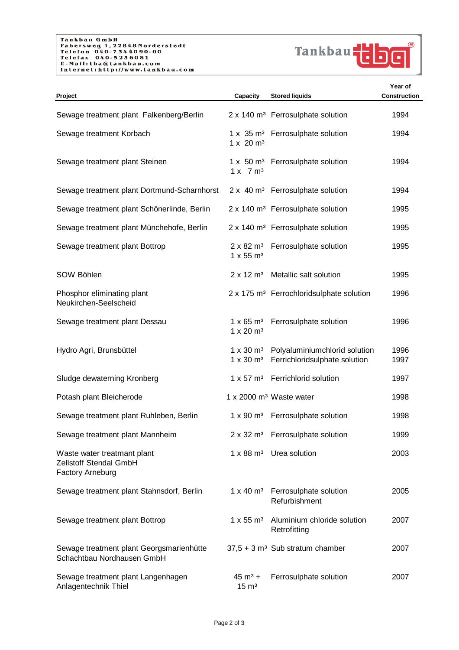

| Project                                                                   | Capacity                                           | <b>Stored liquids</b>                                                                 | Year of<br>Construction |
|---------------------------------------------------------------------------|----------------------------------------------------|---------------------------------------------------------------------------------------|-------------------------|
| Sewage treatment plant Falkenberg/Berlin                                  |                                                    | 2 x 140 m <sup>3</sup> Ferrosulphate solution                                         | 1994                    |
| Sewage treatment Korbach                                                  | 1 x 20 m <sup>3</sup>                              | 1 x 35 m <sup>3</sup> Ferrosulphate solution                                          | 1994                    |
| Sewage treatment plant Steinen                                            | 1 x 7 m <sup>3</sup>                               | 1 x 50 m <sup>3</sup> Ferrosulphate solution                                          | 1994                    |
| Sewage treatment plant Dortmund-Scharnhorst                               |                                                    | 2 x 40 m <sup>3</sup> Ferrosulphate solution                                          | 1994                    |
| Sewage treatment plant Schönerlinde, Berlin                               |                                                    | 2 x 140 m <sup>3</sup> Ferrosulphate solution                                         | 1995                    |
| Sewage treatment plant Münchehofe, Berlin                                 |                                                    | 2 x 140 m <sup>3</sup> Ferrosulphate solution                                         | 1995                    |
| Sewage treatment plant Bottrop                                            | $1 \times 55 \text{ m}^3$                          | 2 x 82 m <sup>3</sup> Ferrosulphate solution                                          | 1995                    |
| SOW Böhlen                                                                | $2 \times 12 \text{ m}^3$                          | Metallic salt solution                                                                | 1995                    |
| Phosphor eliminating plant<br>Neukirchen-Seelscheid                       |                                                    | 2 x 175 m <sup>3</sup> Ferrochloridsulphate solution                                  | 1996                    |
| Sewage treatment plant Dessau                                             | $1 \times 65 \text{ m}^3$<br>1 x 20 m <sup>3</sup> | Ferrosulphate solution                                                                | 1996                    |
| Hydro Agri, Brunsbüttel                                                   | $1 \times 30 \text{ m}^3$                          | 1 x 30 m <sup>3</sup> Polyaluminium chlorid solution<br>Ferrichloridsulphate solution | 1996<br>1997            |
| Sludge dewaterning Kronberg                                               |                                                    | 1 x 57 m <sup>3</sup> Ferrichlorid solution                                           | 1997                    |
| Potash plant Bleicherode                                                  |                                                    | 1 x 2000 m <sup>3</sup> Waste water                                                   | 1998                    |
| Sewage treatment plant Ruhleben, Berlin                                   |                                                    | 1 x 90 m <sup>3</sup> Ferrosulphate solution                                          | 1998                    |
| Sewage treatment plant Mannheim                                           |                                                    | 2 x 32 m <sup>3</sup> Ferrosulphate solution                                          | 1999                    |
| Waste water treatmant plant<br>Zellstoff Stendal GmbH<br>Factory Arneburg |                                                    | $1 \times 88$ m <sup>3</sup> Urea solution                                            | 2003                    |
| Sewage treatment plant Stahnsdorf, Berlin                                 |                                                    | 1 x 40 m <sup>3</sup> Ferrosulphate solution<br>Refurbishment                         | 2005                    |
| Sewage treatment plant Bottrop                                            | $1 \times 55 \text{ m}^3$                          | Aluminium chloride solution<br>Retrofitting                                           | 2007                    |
| Sewage treatment plant Georgsmarienhütte<br>Schachtbau Nordhausen GmbH    |                                                    | $37,5 + 3$ m <sup>3</sup> Sub stratum chamber                                         | 2007                    |
| Sewage treatment plant Langenhagen<br>Anlagentechnik Thiel                | $45 \text{ m}^3 +$<br>$15 \text{ m}^3$             | Ferrosulphate solution                                                                | 2007                    |